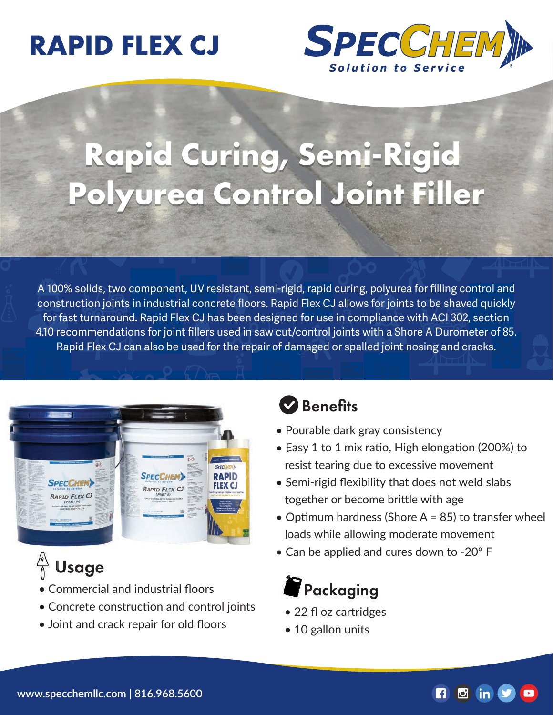## **RAPID FLEX CJ**



# **Rapid Curing, Semi-Rigid Polyurea Control Joint Filler**

A 100% solids, two component, UV resistant, semi-rigid, rapid curing, polyurea for filling control and construction joints in industrial concrete floors. Rapid Flex CJ allows for joints to be shaved quickly for fast turnaround. Rapid Flex CJ has been designed for use in compliance with ACI 302, section 4.10 recommendations for joint fillers used in saw cut/control joints with a Shore A Durometer of 85. Rapid Flex CJ can also be used for the repair of damaged or spalled joint nosing and cracks.



### Usage

- Commercial and industrial floors
- Concrete construction and control joints
- Joint and crack repair for old floors

#### **Benefits**

- Pourable dark gray consistency
- Easy 1 to 1 mix ratio, High elongation (200%) to resist tearing due to excessive movement
- Semi-rigid flexibility that does not weld slabs together or become brittle with age
- Optimum hardness (Shore  $A = 85$ ) to transfer wheel loads while allowing moderate movement
- Can be applied and cures down to -20° F

### Packaging

- 22 fl oz cartridges
- 10 gallon units